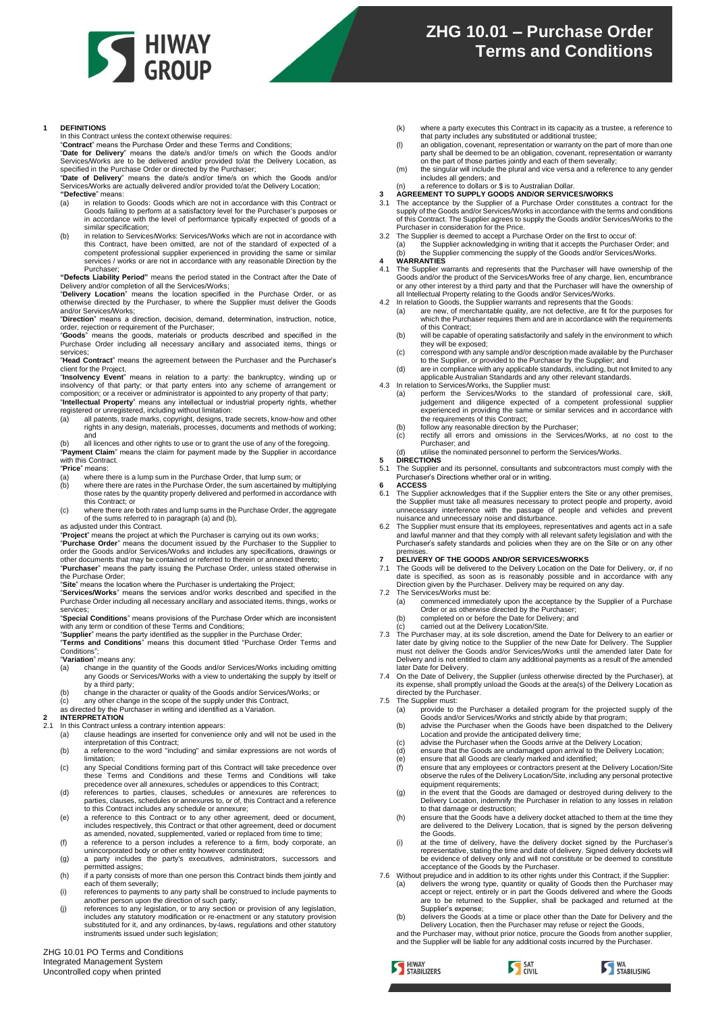

## **1 DEFINITIONS**

In this Contract unless the context otherwise requires:

"**Contract**" means the Purchase Order and these Terms and Conditions;

"**Date for Delivery**" means the date/s and/or time/s on which the Goods and/or

Services/Works are to be delivered and/or provided to/at the Delivery Location, as<br>specified in the Purchase Order or directed by the Purchaser;<br>"Date of Delivery" means the date/s and/or time/s on which the Goods and/or<br>" **"Defective**" means:

- (a) in relation to Goods: Goods which are not in accordance with this Contract or Goods failing to perform at a satisfactory level for the Purchaser's purposes or in accordance with the level of performance typically expected of goods of a similar specification;
- (b) in relation to Services/Works: Services/Works which are not in accordance with this Contract, have been omitted, are not of the standard of expected of a competent professional supplier experienced in providing the same or similar services / works or are not in accordance with any reasonable Direction by the Purchaser;

**"Defects Liability Period"** means the period stated in the Contract after the Date of Delivery and/or completion of all the Services/Works; "**Delivery Location**" means the location specified in the Purchase Order, or as

otherwise directed by the Purchaser, to where the Supplier must deliver the Goods and/or Services/Works;

"**Direction**" means a direction, decision, demand, determination, instruction, notice, order, rejection or requirement of the Purchaser;

"**Goods**" means the goods, materials or products described and specified in the Purchase Order including all necessary ancillary and associated items, things or services;

"**Head Contract**" means the agreement between the Purchaser and the Purchaser's client for the Project.

"Insolvency Event" means in relation to a party: the bankruptcy, winding up or<br>insolvency of that party; or that party enters into any scheme of arrangement or<br>composition; or a receiver or administrator is appointed to an "**Intellectual Property**" means any intellectual or industrial property rights, whether

registered or unregistered, including without limitation: (a) all patents, trade marks, copyright, designs, trade secrets, know-how and other

rights in any design, materials, processes, documents and methods of working; and

(b) all licences and other rights to use or to grant the use of any of the foregoing. "Payment Claim" means the claim for payment made by the Supplier in accordance with this Contract.

### "**Price**" means:

- 
- (a) where there is a lump sum in the Purchase Order, that lump sum; or (b) where there are rates in the Purchase Order, the sum ascertained by (b) where there are rates in the Purchase Order, the sum ascertained by multiplying those rates by the quantity properly delivered and performed in accordance with this Contract; or (c) where there are both rates and lump sums in the Purchase Order, the aggregate
- of the sums referred to in paragraph (a) and (b),

as adjusted under this Contract.

"**Project**" means the project at which the Purchaser is carrying out its own works; "**Purchase Order**" means the document issued by the Purchaser to the Supplier to

order the Goods and/or Services/Works and includes any specifications, drawings or other documents that may be contained or referred to therein or annexed thereto; "**Purchaser**" means the party issuing the Purchase Order, unless stated otherwise in

the Purchase Order; "**Site**" means the location where the Purchaser is undertaking the Project;

"**Services/Works**" means the services and/or works described and specified in the Purchase Order including all necessary ancillary and associated items, things, works or services;

"**Special Conditions**" means provisions of the Purchase Order which are inconsistent with any term or condition of these Terms and Conditions

"**Supplier**" means the party identified as the supplier in the Purchase Order; "**Terms and Conditions**" means this document titled "Purchase Order Terms and

Conditions"

"**Variation**" means any: change in the quantity of the Goods and/or Services/Works including omitting any Goods or Services/Works with a view to undertaking the supply by itself or

- by a third party; (b) change in the character or quality of the Goods and/or Services/Works; or
- 
- (c) any other change in the scope of the supply under this Contract, as directed by the Purchaser in writing and identified as a Variation.

### **2 INTERPRETATION**

- In this Contract unless a contrary intention appears:
	- (a) clause headings are inserted for convenience only and will not be used in the interpretation of this Contract;
- (b) a reference to the word "including" and similar expressions are not words of limitation;
- c) any Special Conditions forming part of this Contract will take precedence over<br>these Terms and Conditions and these Terms and Conditions will take<br>precedence over all annexures, schedules or appendices to this Contract;
- (d) references to parties, clauses, schedules or annexures are references to parties, clauses, schedules or annexures to, or of, this Contract and a reference
- to this Contract includes any schedule or annexure; (e) a reference to this Contract or to any other agreement, deed or document, includes respectively, this Contract or that other agreement, deed or document as amended, novated, supplemented, varied or replaced from time to time;
- (f) a reference to a person includes a reference to a firm, body corporate, an unincorporated body or other entity however constituted; (g) a party includes the party's executives, administrators, successors and
- permitted assigns; (h) if a party consists of more than one person this Contract binds them jointly and
- each of them severally; (i) references to payments to any party shall be construed to include payments to
- another person upon the direction of such party; (j) references to any legislation, or to any section or provision of any legislation,
- includes any statutory modification or re-enactment or any statutory provision substituted for it, and any ordinances, by-laws, regulations and other statutory instruments issued under such legislation;

ZHG 10.01 PO Terms and Conditions Integrated Management System Uncontrolled copy when printed

- (k) where a party executes this Contract in its capacity as a trustee, a reference to that party includes any substituted or additional trustee;
- (l) an obligation, covenant, representation or warranty on the part of more than one party shall be deemed to be an obligation, covenant, representation or warranty on the part of those parties jointly and each of them severally;
- (m) the singular will include the plural and vice versa and a reference to any gender includes all genders; and (n) a reference to dollars or \$ is to Australian Dollar.
- **3 AGREEMENT TO SUPPLY GOODS AND/OR SERVICES/WORKS**
- 3.1 The acceptance by the Supplier of a Purchase Order constitutes a contract for the supply of the Goods and/or Services/Works in accordance with the terms and conditions of this Contract. The Supplier agrees to supply the Goods and/or Services/Works to the Purchaser in consideration for the Price.
- The Supplier is deemed to accept a Purchase Order on the first to occur of: (a) the Supplier acknowledging in writing that it accepts the Purchaser Order; and (b) the Supplier commencing the supply of the Goods and/or Services/Works. **4 WARRANTIES**
- 
- 
- 4.1 The Supplier warrants and represents that the Purchaser will have ownership of the Goods and/or the product of the Services/Works free of any charge, lien, encumbrance<br>or any other interest by a third party and that the Purchaser will have the ownership of<br>all Intellectual Property relating to the Goods
- - which the Purchaser requires them and are in accordance with the requirements of this Contract;
	- (b) will be capable of operating satisfactorily and safely in the environment to which they will be exposed;
	- c) correspond with any sample and/or description made available by the Purchaser<br>to the Supplier, or provided to the Purchaser by the Supplier; and<br>(d) are in compliance with any applicable standards, including, but not li
	- applicable Australian Standards and any other relevant standards.
- 4.3 In relation to Services/Works, the Supplier must:
	- (a) perform the Services/Works to the standard of professional care, skill, judgement and diligence expected of a competent professional supplier experienced in providing the same or similar services and in accordance with the requirements of this Contract;
	- (b) follow any reasonable direction by the Purchaser; (c) rectify all errors and omissions in the Services/Works, at no cost to the Purchaser; and
	- (d) utilise the nominated personnel to perform the Services/Works.
- **5 DIRECTIONS**<br>5.1 The Suppliers 5.1 The Supplier and its personnel, consultants and subcontractors must comply with the Purchaser's Directions whether oral or in writing.
- **6 ACCESS**
- 6.1 The Supplier acknowledges that if the Supplier enters the Site or any other premises, the Supplier must take all measures necessary to protect people and property, avoid unnecessary interference with the passage of people and vehicles and prevent
- nuisance and unnecessary noise and disturbance. 6.2 The Supplier must ensure that its employees, representatives and agents act in a safe and lawful manner and that they comply with all relevant safety legislation and with the Purchaser's safety standards and policies when they are on the Site or on any other
- premises. **7 DELIVERY OF THE GOODS AND/OR SERVICES/WORKS**
- 7.1 The Goods will be delivered to the Delivery Location on the Date for Delivery, or, if no<br>date is specified, as soon as is reasonably possible and in accordance with any<br>Direction given by the Purchaser. Delivery may be 7.2 The Services/Works must be:
	- (a) commenced immediately upon the acceptance by the Supplier of a Purchase
	- Order or as otherwise directed by the Purchaser; (b) completed on or before the Date for Delivery; and
	- carried out at the Delivery Location/Site.
- 7.3 The Purchaser may, at its sole discretion, amend the Date for Delivery to an earlier or later date by giving notice to the Supplier of the new Date for Delivery. The Supplier must not deliver the Goods and/or Services/Works until the amended later Date for Delivery and is not entitled to claim any additional payments as a result of the amended later Date for Delivery.
- 7.4 On the Date of Delivery, the Supplier (unless otherwise directed by the Purchaser), at its expense, shall promptly unload the Goods at the area(s) of the Delivery Location as directed by the Purchaser.
- 7.5 The Supplier must:<br>(a) provide to
	- provide to the Purchaser a detailed program for the projected supply of the Goods and/or Services/Works and strictly abide by that program; (b) advise the Purchaser when the Goods have been dispatched to the Delivery
		- Location and provide the anticipated delivery time; (c) advise the Purchaser when the Goods arrive at the Delivery Location;
	-
	- (d) ensure that the Goods are undamaged upon arrival to the Delivery Location; (e) ensure that all Goods are clearly marked and identified;
	- (f) ensure that any employees or contractors present at the Delivery Location/Site observe the rules of the Delivery Location/Site, including any personal protective equipment requirements;
	- (g) in the event that the Goods are damaged or destroyed during delivery to the Delivery Location, indemnify the Purchaser in relation to any losses in relation to that damage or destruction;
	- (h) ensure that the Goods have a delivery docket attached to them at the time they are delivered to the Delivery Location, that is signed by the person delivering the Goods.
- (i) at the time of delivery, have the delivery docket signed by the Purchaser's representative, stating the time and date of delivery. Signed delivery dockets will be evidence of delivery only and will not constitute or be deemed to constitute acceptance of the Goods by the Purchaser. 7.6 Without prejudice and in addition to its other rights under this Contract, if the Supplier:
- - (a) delivers the wrong type, quantity or quality of Goods then the Purchaser may accept or reject, entirely or in part the Goods delivered and where the Goods are to be returned to the Supplier, shall be packaged and returned at the Supplier's expense;
	- (b) delivers the Goods at a time or place other than the Date for Delivery and the Delivery Location, then the Purchaser may refuse or reject the Goods,
- and the Purchaser may, without prior notice, procure the Goods from another supplier, and the Supplier will be liable for any additional costs incurred by the Purchaser.

S HIWAY



**S** WA STABILISING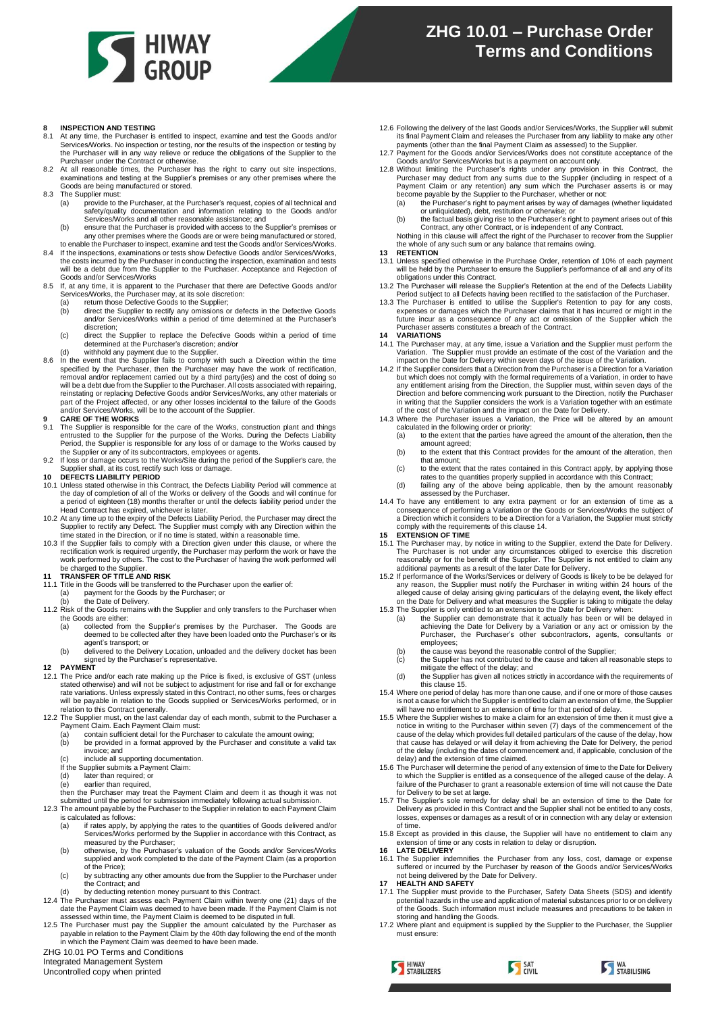

# **8 INSPECTION AND TESTING**<br>8.1 At any time, the Purchaser is

- 8.1 At any time, the Purchaser is entitled to inspect, examine and test the Goods and/or Services/Works. No inspection or testing, nor the results of the inspection or testing by the Purchaser will in any way relieve or reduce the obligations of the Supplier to the
- Purchaser under the Contract or otherwise. 8.2 At all reasonable times, the Purchaser has the right to carry out site inspections, examinations and testing at the Supplier's premises or any other premises where the Goods are being manufactured or stored.
- 8.3 The Supplier must:
	- (a) provide to the Purchaser, at the Purchaser's request, copies of all technical and safety/quality documentation and information relating to the Goods and/or Services/Works and all other reasonable assistance; and
	- (b) ensure that the Purchaser is provided with access to the Supplier's premises or any other premises where the Goods are or were being manufactured or stored,
- to enable the Purchaser to inspect, examine and test the Goods and/or Services/Works. 8.4 If the inspections, examinations or tests show Defective Goods and/or Services/Works, the costs incurred by the Purchaser in conducting the inspection, examination and tests will be a debt due from the Supplier to the Purchaser. Acceptance and Rejection of
- Goods and/or Services/Works 8.5 If, at any time, it is apparent to the Purchaser that there are Defective Goods and/or<br>Services/Works, the Purchaser may, at its sole discretion:<br>(a) return those Defective Goods to the Supplier;<br>(b) direct the Supplie
	-
	- and/or Services/Works within a period of time determined at the Purchaser's discretion;
	- (c) direct the Supplier to replace the Defective Goods within a period of time determined at the Purchaser's discretion; and/or
	-
- (d) withhold any payment due to the Supplier.<br>8.6 In the event that the Supplier fails to comply with such a Direction within the time<br>specified by the Purchaser, then the Purchaser may have the work of rectification,<br>rem reinstating or replacing Defective Goods and/or Services/Works, any other materials or part of the Project affected, or any other losses incidental to the failure of the Goods and/or Services/Works, will be to the account of the Supplier. **9 CARE OF THE WORKS**

- 9.1 The Supplier is responsible for the care of the Works, construction plant and things entrusted to the Supplier for the purpose of the Works. During the Defects Liability
- Period, the Supplier is responsible for any loss of or damage to the Works caused by<br>the Supplier or any of its subcontractors, employees or agents.<br>9.2 If loss or damage occurs to the Works/Site during the period of the S

# **10 DEFECTS LIABILITY PERIOD**<br>10.1 Linless stated otherwise in this (

- 10.1 Unless stated otherwise in this Contract, the Defects Liability Period will commence at the day of completion of all of the Works or delivery of the Goods and will continue for a period of eighteen (18) months theraft
- 10.2 At any time up to the expiry of the Defects Liability Period, the Purchaser may direct the Supplier to rectify any Defect. The Supplier must comply with any Direction within the time stated in the Direction, or if no time is stated, within a reasonable time.
- 10.3 If the Supplier fails to comply with a Direction given under this clause, or where the rectification work is required urgently, the Purchaser may perform the work or have the work performed by others. The cost to the Purchaser of having the work performed will be charged to the Supplier.

- **11 TRANSFER OF TITLE AND RISK** 11.1 Title in the Goods will be transferred to the Purchaser upon the earlier of:
	- (a) payment for the Goods by the Purchaser; or
		- (b) the Date of Delivery.
- 11.2 Risk of the Goods remains with the Supplier and only transfers to the Purchaser when the Goods are either:<br>(a) collected from
	- (a) collected from the Supplier's premises by the Purchaser. The Goods are deemed to be collected after they have been loaded onto the Purchaser's or its
	- agent's transport; or (b) delivered to the Delivery Location, unloaded and the delivery docket has been signed by the Purchaser's representative.

## **12 PAYMENT**

- 12.1 The Price and/or each rate making up the Price is fixed, is exclusive of GST (unless<br>stated otherwise) and will not be subject to adjustment for rise and fall or for exchange<br>rate variations. Unless expressly stated i will be payable in relation to the Goods supplied or Services/Works performed, or in relation to this Contract generally.
- 12.2 The Supplier must, on the last calendar day of each month, submit to the Purchaser a Payment Claim. Each Payment Claim must:
	- (a) contain sufficient detail for the Purchaser to calculate the amount owing; (b) be provided in a format approved by the Purchaser and constitute a valid tax invoice; and
	- include all supporting documentation.
	- If the Supplier submits a Payment Claim:<br>
	(d) later than required; or
	- later than required; or
	- (e) and than required,  $\overline{e}$
	- then the Purchaser may treat the Payment Claim and deem it as though it was not submitted until the period for submission immediately following actual submission.
- 12.3 The amount payable by the Purchaser to the Supplier in relation to each Payment Claim is calculated as follows:
	- (a) if rates apply, by applying the rates to the quantities of Goods delivered and/or Services/Works performed by the Supplier in accordance with this Contract, as measured by the Purchaser;
	- (b) otherwise, by the Purchaser's valuation of the Goods and/or Services/Works supplied and work completed to the date of the Payment Claim (as a proportion of the Price);
	- (c) by subtracting any other amounts due from the Supplier to the Purchaser under the Contract; and
- 
- (d) by deducting retention money pursuant to this Contract.<br>12.4 The Purchaser must assess each Payment Claim within twenty one (21) days of the<br>date the Payment Claim was deemed to have been made. If the Payment Claim is
- assessed within time, the Payment Claim is deemed to be disputed in full.<br>12.5 The Purchaser must pay the Supplier the amount calculated by the Purchaser as<br>payable in relation to the Payment Claim by the 40th day followin

ZHG 10.01 PO Terms and Conditions

Integrated Management System Uncontrolled copy when printed

- 12.6 Following the delivery of the last Goods and/or Services/Works, the Supplier will submit its final Payment Claim and releases the Purchaser from any liability to make any other payments (other than the final Payment Claim as assessed) to the Supplier.
- 12.7 Payment for the Goods and/or Services/Works does not constitute acceptance of the
- Goods and/or Services/Works but is a payment on account only.<br>12.8 Without limiting the Purchaser's rights under any provision in this Contract, the<br>Purchaser may deduct from any sums due to the Supplier (including in resp
	-
	- or unliquidated), debt, restitution or otherwise; or (b) the factual basis giving rise to the Purchaser's right to payment arises out of this Contract, any other Contract, or is independent of any Contract.
	- Nothing in this clause will affect the right of the Purchaser to recover from the Supplier the whole of any such sum or any balance that remains owing.
- **13 RETENTION**
- 13.1 Unless specified otherwise in the Purchase Order, retention of 10% of each payment will be held by the Purchaser to ensure the Supplier's performance of all and any of its obligations under this Contract.
- 13.2 The Purchaser will release the Supplier's Retention at the end of the Defects Liability<br>Period subject to all Defects having been rectified to the Sustanction of the Purchaser.<br>13.3 The Purchaser is entitled to utilis
- future incur as a consequence of any act or omission of the Supplier which the Purchaser asserts constitutes a breach of the Contract.
- <span id="page-1-0"></span>**14 VARIATIONS**
- 14.1 The Purchaser may, at any time, issue a Variation and the Supplier must perform the Variation. The Supplier must provide an estimate of the cost of the Variation and the<br>impact on the Date for Delivery within seven days of the Variation.<br>14.2 If the Supplier considers that a Direction from the Purchaser i
- but which does not comply with the formal requirements of a Variation, in order to have any entitlement arising from the Direction, the Supplier must, within seven days of the Direction and before commencing work pursuant to the Direction, notify the Purchaser in writing that the Supplier considers the work is a Variation together with an estimate
- of the cost of the Variation and the impact on the Date for Delivery. 14.3 Where the Purchaser issues a Variation, the Price will be altered by an amount
	- calculated in the following order or priority: (a) to the extent that the parties have agreed the amount of the alteration, then the amount agreed;
	- (b) to the extent that this Contract provides for the amount of the alteration, then that amount;
	- (c) to the extent that the rates contained in this Contract apply, by applying those
	- rates to the quantities properly supplied in accordance with this Contract;<br>(d) failing any of the above being applicable, then by the amount reasonably<br>assessed by the Purchaser.
- 14.4 To have any entitlement to any extra payment or for an extension of time as a consequence of performing a Variation or the Goods or Services/Works the subject of a Direction which it considers to be a Direction for a Variation, the Supplier must strictly comply with the requirements of this claus[e 14.](#page-1-0)

## <span id="page-1-1"></span>**15 EXTENSION OF TIME**

- 15.1 The Purchaser may, by notice in writing to the Supplier, extend the Date for Delivery. The Purchaser is not under any circumstances obliged to exercise this discretion<br>reasonably or for the benefit of the Supplier. The Supplier is not entitled to claim any<br>additional payments as a result of the later Date fo
- 15.2 If performance of the Works/Services or delivery of Goods is likely to be be delayed for any reason, the Supplier must notify the Purchaser in writing within 24 hours of the alleged cause of delay arising giving particulars of the delaying event, the likely effect on the Date for Delivery and what measures the Supplier is taking to mitigate the delay
- 15.3 The Supplier is only entitled to an extension to the Date for Delivery when:<br>
(a) the Supplier can demonstrate that it actually has been or will be delayed in<br>
achieving the Date for Delivery by a Variation or any act employees;
	- the cause was beyond the reasonable control of the Supplier;
	- (c) the Supplier has not contributed to the cause and taken all reasonable steps to mitigate the effect of the delay; and
	- (d) the Supplier has given all notices strictly in accordance with the requirements of
- this clause [15.](#page-1-1) 15.4 Where one period of delay has more than one cause, and if one or more of those causes is not a cause for which the Supplier is entitled to claim an extension of time, the Supplier will have no entitlement to an extension of time for that period of delay.
- 15.5 Where the Supplier wishes to make a claim for an extension of time then it must give a notice in writing to the Purchaser within seven (7) days of the commencement of the cause of the delay which provides full detailed particulars of the cause of the delay, how that cause has delayed or will delay it from achieving the Date for Delivery, the period of the delay (including the dates of commencement and, if applicable, conclusion of the delay) and the extension of time claimed.
- 15.6 The Purchaser will determine the period of any extension of time to the Date for Delivery to which the Supplier is entitled as a consequence of the alleged cause of the delay. A failure of the Purchaser to grant a reasonable extension of time will not cause the Date for Delivery to be set at large. 15.7 The Supplier's sole remedy for delay shall be an extension of time to the Date for
- Delivery as provided in this Contract and the Supplier shall not be entitled to any costs, losses, expenses or damages as a result of or in connection with any delay or extension of time.
- 15.8 Except as provided in this clause, the Supplier will have no entitlement to claim any extension of time or any costs in relation to delay or disruption.
- **16 LATE DELIVERY**
- 16.1 The Supplier indemnifies the Purchaser from any loss, cost, damage or expense suffered or incurred by the Purchaser by reason of the Goods and/or Services/Works not being delivered by the Date for Delivery.
- **17 HEALTH AND SAFETY**
- 17.1 The Supplier must provide to the Purchaser, Safety Data Sheets (SDS) and identify potential hazards in the use and application of material substances prior to or on delivery of the Goods. Such information must include measures and precautions to be taken in
- storing and handling the Goods. 17.2 Where plant and equipment is supplied by the Supplier to the Purchaser, the Supplier must ensure:

S SAT



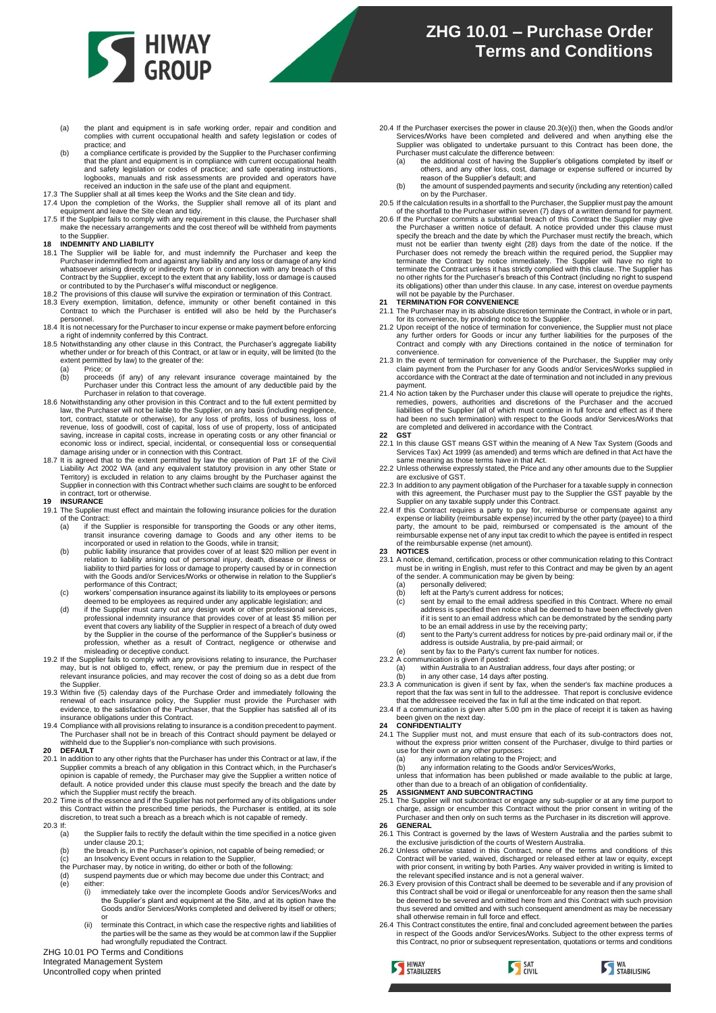

- (a) the plant and equipment is in safe working order, repair and condition and complies with current occupational health and safety legislation or codes of practice; and
- (b) a compliance certificate is provided by the Supplier to the Purchaser confirming<br>that the plant and equipment is in compliance with current occupational health<br>and safety legislation or codes of practice; and safe oper logbooks, manuals and risk assessments are provided and operators have received an induction in the safe use of the plant and equipment.
- 17.3 The Supplier shall at all times keep the Works and the Site clean and tidy
- 17.5 The supplier shall at all times keep the Works and the She Gearl and tary.<br>17.4 Upon the completion of the Works, the Supplier shall remove all of its plant and equipment and leave the Site clean and tidy. 17.5 If the Suplpier fails to comply with any requirement in this clause, the Purchaser shall
- make the necessary arrangements and the cost thereof will be withheld from payments to the Supplier.
- **18 INDEMNITY AND LIABILITY**
- 18.1 The Supplier will be liable for, and must indemnify the Purchaser and keep the Purchaser indemnified from and against any liability and any loss or damage of any kind whatsoever arising directly or indirectly from or in connection with any breach of this Contract by the Supplier, except to the extent that any liability, loss or damage is caused or contributed to by the Purchaser's wilful misconduct or negligence. 18.2 The provisions of this clause will survive the expiration or termination of this Contract.
- 
- 18.3 Every exemption, limitation, defence, immunity or other benefit contained in this Contract to which the Purchaser is entitled will also be held by the Purchaser's personnel.
- 18.4 It is not necessary for the Purchaser to incur expense or make payment before enforcing a right of indemnity conferred by this Contract. 18.5 Notwithstanding any other clause in this Contract, the Purchaser's aggregate liability
- whether under or for breach of this Contract, or at law or in equity, will be limited (to the extent permitted by law) to the greater of the:
	- (a) Price; or<br>(b) proceeds
	- (b) proceeds (if any) of any relevant insurance coverage maintained by the Purchaser under this Contract less the amount of any deductible paid by the
- Purchaser in relation to that coverage. 18.6 Notwithstanding any other provision in this Contract and to the full extent permitted by law, the Purchaser will not be liable to the Supplier, on any basis (including negligence,<br>tort, contract, statute or otherwise), for any loss of profits, loss of business, loss of<br>revenue, loss of goodwill, cost of capita economic loss or indirect, special, incidental, or consequential loss or consequential damage arising under or in connection with this Contract.
- 18.7 It is agreed that to the extent permitted by law the operation of Part 1F of the Civil<br>Liability Act 2002 WA (and any equivalent statutory provision in any other State or<br>Territory) is excluded in relation to any clai

### **19 INSURANCE**

- 19.1 The Supplier must effect and maintain the following insurance policies for the duration of the Contract:
	- (a) if the Supplier is responsible for transporting the Goods or any other items, transit insurance covering damage to Goods and any other items to be incorporated or used in relation to the Goods, while in transit;
	- (b) public liability insurance that provides cover of at least \$20 million per event in relation to liability arising out of personal injury, death, disease or illness or liability to third parties for loss or damage to property caused by or in connection with the Goods and/or Services/Works or otherwise in relation to the Supplier's performance of this Contract;
	- (c) workers' compensation insurance against its liability to its employees or persons deemed to be employees as required under any applicable legislation; and
	- (d) if the Supplier must carry out any design work or other professional services, professional indemnity insurance that provides cover of at least \$5 million per event that covers any liability of the Supplier in respect of a breach of duty owed by the Supplier in the course of the performance of the Supplier's business or profession, whether as a result of Contract, negligence or otherwise and misleading or deceptive conduct.
- 19.2 If the Supplier fails to comply with any provisions relating to insurance, the Purchaser may, but is not obliged to, effect, renew, or pay the premium due in respect of the relevant insurance policies, and may recover the cost of doing so as a debt due from the Supplier.
- 19.3 Within five (5) calenday days of the Purchase Order and immediately following the renewal of each insurance policy, the Supplier must provide the Purchaser with evidence, to the satisfaction of the Purchaser, that the Supplier has satisfied all of its
- insurance obligations under this Contract. 19.4 Compliance with all provisions relating to insurance is a condition precedent to payment. The Purchaser shall not be in breach of this Contract should payment be delayed or withheld due to the Supplier's non-compliance with such provisions.
- **20 DEFAULT**
- <span id="page-2-0"></span>20.1 In addition to any other rights that the Purchaser has under this Contract or at law, if the Supplier commits a breach of any obligation in this Contract which, in the Purchaser's<br>opinion is capable of remedy, the Purchaser may give the Supplier a written notice of<br>default. A notice provided under this clause must
- which the Supplier must rectify the breach.<br>20.2 Time is of the essence and if the Supplier has not performed any of its obligations under<br>this Contract within the prescribed time periods, the Purchaser is entitled, at its
- $20.3$  If:<br>(a)
	- the Supplier fails to rectify the default within the time specified in a notice given under clause [20.1;](#page-2-0)
	- (b) the breach is, in the Purchaser's opinion, not capable of being remedied; or
	-
	-
	- (c) an Insolvency Event occurs in relation to the Supplier,<br>the Purchaser may, by notice in writing, do either or both of the following:<br>(d) suspend payments due or which may become due under this Contract; and (e) either:
		- (i) immediately take over the incomplete Goods and/or Services/Works and the Supplier's plant and equipment at the Site, and at its option have the Goods and/or Services/Works completed and delivered by itself or others;
		- or (ii) terminate this Contract, in which case the respective rights and liabilities of the parties will be the same as they would be at common law if the Supplier had wrongfully repudiated the Contract.

<span id="page-2-1"></span>ZHG 10.01 PO Terms and Conditions Integrated Management System

Uncontrolled copy when printed

- 20.4 If the Purchaser exercises the power in claus[e 20.3\(e\)\(i\)](#page-2-1) then, when the Goods and/or Services/Works have been completed and delivered and when anything else the Supplier was obligated to undertake pursuant to this Contract has been done, the
	- Purchaser must calculate the difference between:<br>(a) the additional cost of having the Supplier (a) the additional cost of having the Supplier's obligations completed by itself or others, and any other loss, cost, damage or expense suffered or incurred by
	- reason of the Supplier's default; and (b) the amount of suspended payments and security (including any retention) called on by the Purchaser.
- 20.5 If the calculation results in a shortfall to the Purchaser, the Supplier must pay the amount
- of the shortfall to the Purchaser within seven (7) days of a written demand for payment. 20.6 If the Purchaser commits a substantial breach of this Contract the Supplier may give the Purchaser a written notice of default. A notice provided under this clause must specify the breach and the date by which the Purchaser must rate redistive the mater of the match must must not be earlier than twenty eig its obligations) other than under this clause. In any case, interest on overdue payments will not be payable by the Purchaser. **21 TERMINATION FOR CONVENIENCE**

- 21.1 The Purchaser may in its absolute discretion terminate the Contract, in whole or in part, for its convenience, by providing notice to the Supplier. 21.2 Upon receipt of the notice of termination for convenience, the Supplier must not place
- any further orders for Goods or incur any further liabilities for the purposes of the Contract and comply with any Directions contained in the notice of termination for convenience.
- 21.3 In the event of termination for convenience of the Purchaser, the Supplier may only claim payment from the Purchaser for any Goods and/or Services/Works supplied in accordance with the Contract at the date of termination and not included in any previous payment.
- 21.4 No action taken by the Purchaser under this clause will operate to prejudice the rights, remedies, powers, authorities and discretions of the Purchaser and the accrued<br>liabilities of the Supplier (all of which must continue in full force and effect as if there<br>had been no such termination) with respect to the are completed and delivered in accordance with the Contract.
- **22 GST**
- 22.1 In this clause GST means GST within the meaning of A New Tax System (Goods and Services Tax) Act 1999 (as amended) and terms which are defined in that Act have the same meaning as those terms have in that Act. 22.2 Unless otherwise expressly stated, the Price and any other amounts due to the Supplier
- are exclusive of GST.
- 22.3 In addition to any payment obligation of the Purchaser for a taxable supply in connection<br>with this agreement, the Purchaser must pay to the Supplier the GST payable by the<br>Supplier on any taxable supply under this Co
- expense or liability (reimbursable expense) incurred by the other party (payee) to a third party, the amount to be paid, reimbursed or compensated is the amount of the reimbursable expense net of any input tax credit to which the payee is entitled in respect of the reimbursable expense (net amount).

### **23 NOTICES**

- 23.1 A notice, demand, certification, process or other communication relating to this Contract must be in writing in English, must refer to this Contract and may be given by an agent of the sender. A communication may be given by being: (a) personally delivered; (b) left at the Party's current address for notices;
	-
	- (c) sent by email to the email address specified in this Contract. Where no email address is specified then notice shall be deemed to have been effectively given if it is sent to an email address which can be demonstrated by the sending party
	- to be an email address in use by the receiving party; (d) sent to the Party's current address for notices by pre-paid ordinary mail or, if the
- address is outside Australia, by pre-paid airmail; or (e) sent by fax to the Party's current fax number for notices.
	-
	-
	-
- 23.2 A communication is given if posted:<br>
(a) within Australia to an Australian address, four days after posting; or<br>
(b) in any other case, 14 days after posting.<br>
23.3 A communication is given if sent by fax, when the se
- that the addressee received the fax in full at the time indicated on that report. 23.4 If a communication is given after 5.00 pm in the place of receipt it is taken as having

# been given on the next day. **24 CONFIDENTIALITY**

S HIWAY

- 24.1 The Supplier must not, and must ensure that each of its sub-contractors does not, without the express prior written consent of the Purchaser, divulge to third parties or use for their own or any other purposes:
	- any information relating to the Project; and
	-
- (b) any information relating to the Goods and/or Services/Works,<br>unless that information has been published or made available to the public at large,<br>other than due to a breach of an obligation of confidentiality.<br>**25 ASSI**
- 
- 25.1 The Supplier will not subcontract or engage any sub-supplier or at any time purport to<br>charge, assign or encumber this Contract without the prior consent in writing of the<br>Purchaser and then only on such terms as the **26 GENERAL**
- 26.1 This Contract is governed by the laws of Western Australia and the parties submit to
- the exclusive jurisdiction of the courts of Western Australia. 26.2 Unless otherwise stated in this Contract, none of the terms and conditions of this Contract will be varied, waived, discharged or released either at law or equity, except<br>with prior consent, in writing by both Parties. Any waiver provided in writing is limited to<br>the relevant specified instance and is no
- 26.3 Every provision of this Contract shall be deemed to be severable and if any provision of this Contract shall be void or illegal or unenforceable for any reason then the same shall be deemed to be severed and omitted here from and this Contract with such provision thus severed and omitted and with such consequent amendment as may be necessary
- shall otherwise remain in full force and effect. 26.4 This Contract constitutes the entire, final and concluded agreement between the parties in respect of the Goods and/or Services/Works. Subject to the other express terms of this Contract, no prior or subsequent representation, quotations or terms and conditions